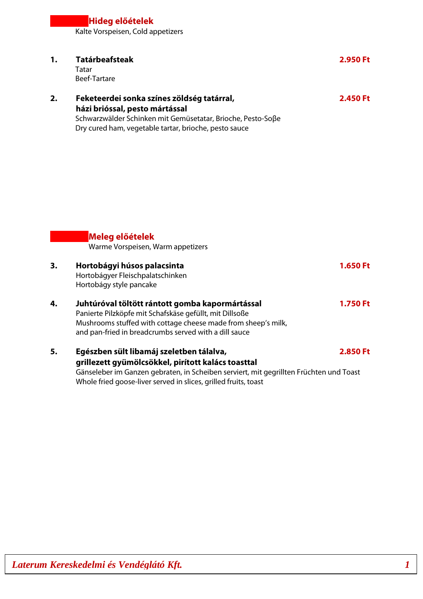Kalte Vorspeisen, Cold appetizers

| 1. | <b>Tatárbeafsteak</b><br>Tatar<br><b>Beef-Tartare</b>                                                                                                                                                                                                       | 2.950 Ft        |
|----|-------------------------------------------------------------------------------------------------------------------------------------------------------------------------------------------------------------------------------------------------------------|-----------------|
| 2. | Feketeerdei sonka színes zöldség tatárral,<br>házi brióssal, pesto mártással<br>Schwarzwälder Schinken mit Gemüsetatar, Brioche, Pesto-Soβe<br>Dry cured ham, vegetable tartar, brioche, pesto sauce                                                        | 2.450 Ft        |
|    | Meleg előételek<br>Warme Vorspeisen, Warm appetizers                                                                                                                                                                                                        |                 |
| 3. | Hortobágyi húsos palacsinta<br>Hortobágyer Fleischpalatschinken<br>Hortobágy style pancake                                                                                                                                                                  | 1.650 Ft        |
| 4. | Juhtúróval töltött rántott gomba kapormártással<br>Panierte Pilzköpfe mit Schafskäse gefüllt, mit Dillsoße<br>Mushrooms stuffed with cottage cheese made from sheep's milk,<br>and pan-fried in breadcrumbs served with a dill sauce                        | <b>1.750 Ft</b> |
| 5. | Egészben sült libamáj szeletben tálalva,<br>grillezett gyümölcsökkel, pirított kalács toasttal<br>Gänseleber im Ganzen gebraten, in Scheiben serviert, mit gegrillten Früchten und Toast<br>Whole fried goose-liver served in slices, grilled fruits, toast | 2.850 Ft        |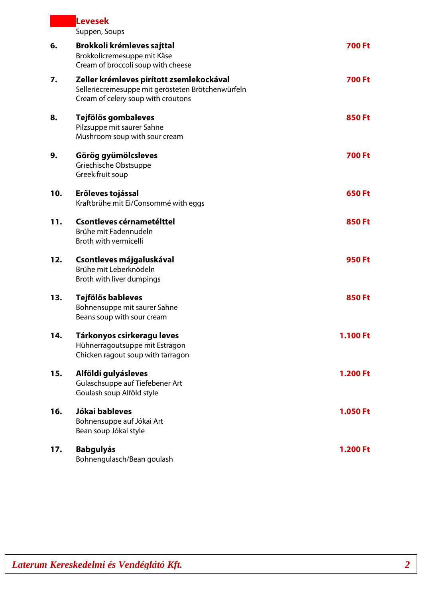|     | Levesek<br>Suppen, Soups                                                                                                            |               |
|-----|-------------------------------------------------------------------------------------------------------------------------------------|---------------|
| 6.  | Brokkoli krémleves sajttal<br>Brokkolicremesuppe mit Käse<br>Cream of broccoli soup with cheese                                     | <b>700 Ft</b> |
| 7.  | Zeller krémleves pirított zsemlekockával<br>Selleriecremesuppe mit gerösteten Brötchenwürfeln<br>Cream of celery soup with croutons | <b>700 Ft</b> |
| 8.  | Tejfölös gombaleves<br>Pilzsuppe mit saurer Sahne<br>Mushroom soup with sour cream                                                  | <b>850 Ft</b> |
| 9.  | Görög gyümölcsleves<br>Griechische Obstsuppe<br>Greek fruit soup                                                                    | <b>700 Ft</b> |
| 10. | Erőleves tojással<br>Kraftbrühe mit Ei/Consommé with eggs                                                                           | <b>650 Ft</b> |
| 11. | Csontleves cérnametélttel<br>Brühe mit Fadennudeln<br>Broth with vermicelli                                                         | <b>850 Ft</b> |
| 12. | Csontleves májgaluskával<br>Brühe mit Leberknödeln<br>Broth with liver dumpings                                                     | <b>950 Ft</b> |
| 13. | Tejfölös bableves<br>Bohnensuppe mit saurer Sahne<br>Beans soup with sour cream                                                     | <b>850 Ft</b> |
| 14. | Tárkonyos csirkeragu leves<br>Hühnerragoutsuppe mit Estragon<br>Chicken ragout soup with tarragon                                   | 1.100 Ft      |
| 15. | Alföldi gulyásleves<br>Gulaschsuppe auf Tiefebener Art<br>Goulash soup Alföld style                                                 | 1.200 Ft      |
| 16. | Jókai bableves<br>Bohnensuppe auf Jókai Art<br>Bean soup Jókai style                                                                | 1.050 Ft      |
| 17. | <b>Babgulyás</b><br>Bohnengulasch/Bean goulash                                                                                      | 1.200 Ft      |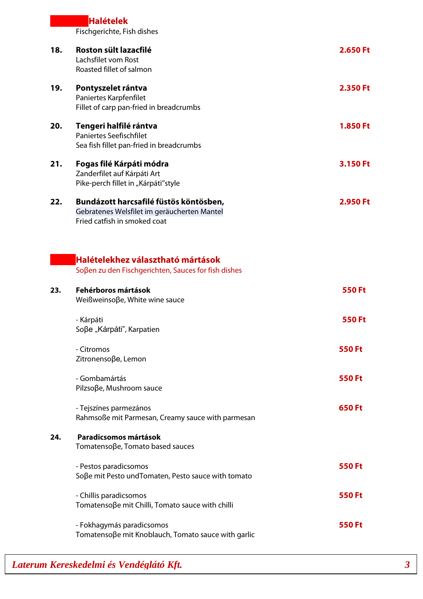|     | <b>Halételek</b><br>Fischgerichte, Fish dishes                                                                        |               |
|-----|-----------------------------------------------------------------------------------------------------------------------|---------------|
| 18. | Roston sült lazacfilé<br>Lachsfilet vom Rost<br>Roasted fillet of salmon                                              | 2.650 Ft      |
| 19. | Pontyszelet rántva<br>Paniertes Karpfenfilet<br>Fillet of carp pan-fried in breadcrumbs                               | 2.350 Ft      |
| 20. | Tengeri halfilé rántva<br><b>Paniertes Seefischfilet</b><br>Sea fish fillet pan-fried in breadcrumbs                  | 1.850 Ft      |
| 21. | Fogas filé Kárpáti módra<br>Zanderfilet auf Kárpáti Art<br>Pike-perch fillet in "Kárpáti"style                        | 3.150 Ft      |
| 22. | Bundázott harcsafilé füstös köntösben,<br>Gebratenes Welsfilet im geräucherten Mantel<br>Fried catfish in smoked coat | 2.950 Ft      |
| 23. | Halételekhez választható mártások<br>Soβen zu den Fischgerichten, Sauces for fish dishes<br>Fehérboros mártások       | <b>550 Ft</b> |
|     | Weißweinsoβe, White wine sauce<br>- Kárpáti<br>Soβe "Kárpáti", Karpatien                                              | <b>550 Ft</b> |
|     | - Citromos<br>Zitronensoβe, Lemon                                                                                     | 550 Ft        |
|     | - Gombamártás<br>Pilzsoße, Mushroom sauce                                                                             | <b>550 Ft</b> |
|     | - Tejszínes parmezános<br>Rahmsoße mit Parmesan, Creamy sauce with parmesan                                           | 650 Ft        |
| 24. | Paradicsomos mártások<br>Tomatensoβe, Tomato based sauces                                                             |               |
|     | - Pestos paradicsomos<br>Soβe mit Pesto und Tomaten, Pesto sauce with tomato                                          | <b>550 Ft</b> |
|     | - Chillis paradicsomos<br>Tomatensoße mit Chilli, Tomato sauce with chilli                                            | <b>550 Ft</b> |
|     | - Fokhagymás paradicsomos<br>Tomatensoße mit Knoblauch, Tomato sauce with garlic                                      | <b>550 Ft</b> |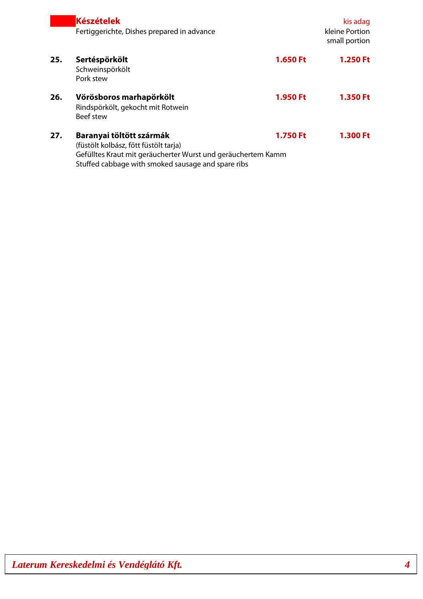|     | <b>Készételek</b><br>Fertiggerichte, Dishes prepared in advance                                                                                                                         |          | kis adag<br>kleine Portion<br>small portion |
|-----|-----------------------------------------------------------------------------------------------------------------------------------------------------------------------------------------|----------|---------------------------------------------|
| 25. | Sertéspörkölt<br>Schweinspörkölt<br>Pork stew                                                                                                                                           | 1.650 Ft | <b>1.250 Ft</b>                             |
| 26. | Vörösboros marhapörkölt<br>Rindspörkölt, gekocht mit Rotwein<br>Beef stew                                                                                                               | 1.950 Ft | 1.350 Ft                                    |
| 27. | Baranyai töltött szármák<br>(füstölt kolbász, főtt füstölt tarja)<br>Gefülltes Kraut mit geräucherter Wurst und geräuchertem Kamm<br>Stuffed cabbage with smoked sausage and spare ribs | 1.750 Ft | 1.300 Ft                                    |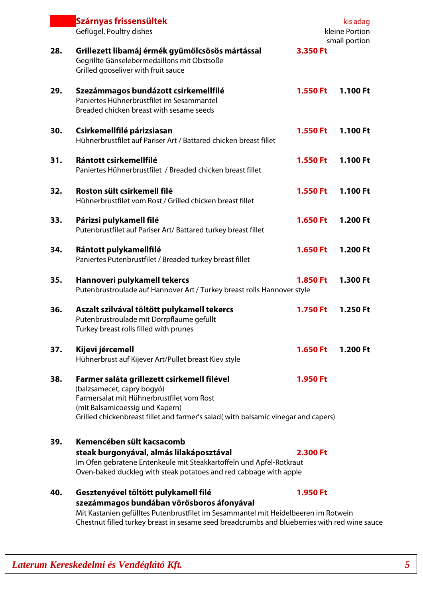|     | Szárnyas frissensültek<br>kis adag<br>kleine Portion                                                                                                                                                                                                                    |                 |               |
|-----|-------------------------------------------------------------------------------------------------------------------------------------------------------------------------------------------------------------------------------------------------------------------------|-----------------|---------------|
|     | Geflügel, Poultry dishes                                                                                                                                                                                                                                                |                 | small portion |
| 28. | Grillezett libamáj érmék gyümölcsösös mártással<br>Gegrillte Gänselebermedaillons mit Obstsoße<br>Grilled gooseliver with fruit sauce                                                                                                                                   | 3.350 Ft        |               |
| 29. | Szezámmagos bundázott csirkemellfilé<br>Paniertes Hühnerbrustfilet im Sesammantel<br>Breaded chicken breast with sesame seeds                                                                                                                                           | 1.550 Ft        | 1.100 Ft      |
| 30. | Csirkemellfilé párizsiasan<br>Hühnerbrustfilet auf Pariser Art / Battared chicken breast fillet                                                                                                                                                                         | 1.550 Ft        | 1.100 Ft      |
| 31. | Rántott csirkemellfilé<br>Paniertes Hühnerbrustfilet / Breaded chicken breast fillet                                                                                                                                                                                    | 1.550 Ft        | 1.100 Ft      |
| 32. | Roston sült csirkemell filé<br>Hühnerbrustfilet vom Rost / Grilled chicken breast fillet                                                                                                                                                                                | 1.550 Ft        | 1.100 Ft      |
| 33. | Párizsi pulykamell filé<br>Putenbrustfilet auf Pariser Art/ Battared turkey breast fillet                                                                                                                                                                               | 1.650 Ft        | 1.200 Ft      |
| 34. | Rántott pulykamellfilé<br>Paniertes Putenbrustfilet / Breaded turkey breast fillet                                                                                                                                                                                      | 1.650 Ft        | 1.200 Ft      |
| 35. | Hannoveri pulykamell tekercs<br>Putenbrustroulade auf Hannover Art / Turkey breast rolls Hannover style                                                                                                                                                                 | 1.850 Ft        | 1.300 Ft      |
| 36. | Aszalt szilvával töltött pulykamell tekercs<br>Putenbrustroulade mit Dörrpflaume gefüllt<br>Turkey breast rolls filled with prunes                                                                                                                                      | <b>1.750 Ft</b> | 1.250 Ft      |
| 37. | Kijevi jércemell<br>Hühnerbrust auf Kijever Art/Pullet breast Kiev style                                                                                                                                                                                                | 1.650 Ft        | 1.200 Ft      |
| 38. | Farmer saláta grillezett csirkemell filével<br>(balzsamecet, capry bogyó)<br>Farmersalat mit Hühnerbrustfilet vom Rost<br>(mit Balsamicoessig und Kapern)<br>Grilled chickenbreast fillet and farmer's salad(with balsamic vinegar and capers)                          | 1.950 Ft        |               |
| 39. | Kemencében sült kacsacomb<br>steak burgonyával, almás lilakáposztával<br>Im Ofen gebratene Entenkeule mit Steakkartoffeln und Apfel-Rotkraut<br>Oven-baked duckleg with steak potatoes and red cabbage with apple                                                       | 2.300 Ft        |               |
| 40. | Gesztenyével töltött pulykamell filé<br>szezámmagos bundában vörösboros áfonyával<br>Mit Kastanien gefülltes Putenbrustfilet im Sesammantel mit Heidelbeeren im Rotwein<br>Chestnut filled turkey breast in sesame seed breadcrumbs and blueberries with red wine sauce | 1.950 Ft        |               |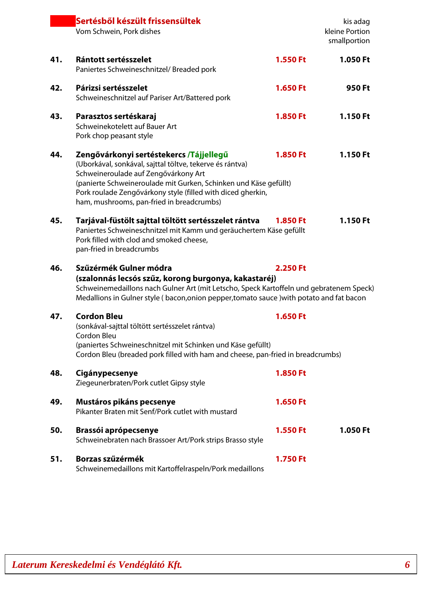|     | Sertésből készült frissensültek<br>Vom Schwein, Pork dishes                                                                                                                                                                                                                                                                 |                 | kis adag<br>kleine Portion<br>smallportion |
|-----|-----------------------------------------------------------------------------------------------------------------------------------------------------------------------------------------------------------------------------------------------------------------------------------------------------------------------------|-----------------|--------------------------------------------|
| 41. | Rántott sertésszelet<br>Paniertes Schweineschnitzel/Breaded pork                                                                                                                                                                                                                                                            | 1.550 Ft        | 1.050 Ft                                   |
| 42. | Párizsi sertésszelet<br>Schweineschnitzel auf Pariser Art/Battered pork                                                                                                                                                                                                                                                     | 1.650 Ft        | 950 Ft                                     |
| 43. | Parasztos sertéskaraj<br>Schweinekotelett auf Bauer Art<br>Pork chop peasant style                                                                                                                                                                                                                                          | 1.850 Ft        | 1.150 Ft                                   |
| 44. | Zengővárkonyi sertéstekercs /Tájjellegű<br>(Uborkával, sonkával, sajttal töltve, tekerve és rántva)<br>Schweineroulade auf Zengővárkony Art<br>(panierte Schweineroulade mit Gurken, Schinken und Käse gefüllt)<br>Pork roulade Zengővárkony style (filled with diced gherkin,<br>ham, mushrooms, pan-fried in breadcrumbs) | 1.850 Ft        | 1.150 Ft                                   |
| 45. | Tarjával-füstölt sajttal töltött sertésszelet rántva<br>Paniertes Schweineschnitzel mit Kamm und geräuchertem Käse gefüllt<br>Pork filled with clod and smoked cheese,<br>pan-fried in breadcrumbs                                                                                                                          | <b>1.850 Ft</b> | 1.150 Ft                                   |
| 46. | Szűzérmék Gulner módra<br>(szalonnás lecsós szűz, korong burgonya, kakastaréj)<br>Schweinemedaillons nach Gulner Art (mit Letscho, Speck Kartoffeln und gebratenem Speck)<br>Medallions in Gulner style (bacon, onion pepper, tomato sauce) with potato and fat bacon                                                       | 2.250 Ft        |                                            |
| 47. | <b>Cordon Bleu</b><br>(sonkával-sajttal töltött sertésszelet rántva)<br>Cordon Bleu<br>(paniertes Schweineschnitzel mit Schinken und Käse gefüllt)<br>Cordon Bleu (breaded pork filled with ham and cheese, pan-fried in breadcrumbs)                                                                                       | 1.650 Ft        |                                            |
| 48. | Cigánypecsenye<br>Ziegeunerbraten/Pork cutlet Gipsy style                                                                                                                                                                                                                                                                   | 1.850 Ft        |                                            |
| 49. | Mustáros pikáns pecsenye<br>Pikanter Braten mit Senf/Pork cutlet with mustard                                                                                                                                                                                                                                               | 1.650 Ft        |                                            |
| 50. | <b>Brassói aprópecsenye</b><br>Schweinebraten nach Brassoer Art/Pork strips Brasso style                                                                                                                                                                                                                                    | 1.550 Ft        | 1.050 Ft                                   |
| 51. | Borzas szűzérmék<br>Schweinemedaillons mit Kartoffelraspeln/Pork medaillons                                                                                                                                                                                                                                                 | <b>1.750 Ft</b> |                                            |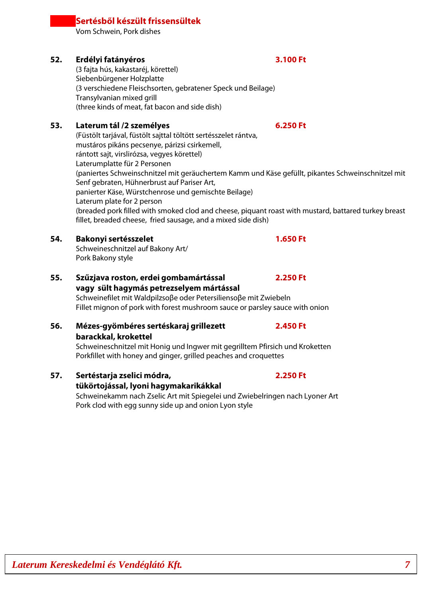## Vom Schwein, Pork dishes

**Sertésből készült frissensültek**

## **52. Erdélyi fatányéros 3.100 Ft**

(3 fajta hús, kakastaréj, körettel) Siebenbürgener Holzplatte (3 verschiedene Fleischsorten, gebratener Speck und Beilage) Transylvanian mixed grill (three kinds of meat, fat bacon and side dish)

## **53. Laterum tál /2 személyes 6.250 Ft**

(Füstölt tarjával, füstölt sajttal töltött sertésszelet rántva, mustáros pikáns pecsenye, párizsi csirkemell, rántott sajt, virslirózsa, vegyes körettel) Laterumplatte für 2 Personen (paniertes Schweinschnitzel mit geräuchertem Kamm und Käse gefüllt, pikantes Schweinschnitzel mit Senf gebraten, Hühnerbrust auf Pariser Art, panierter Käse, Würstchenrose und gemischte Beilage) Laterum plate for 2 person (breaded pork filled with smoked clod and cheese, piquant roast with mustard, battared turkey breast fillet, breaded cheese, fried sausage, and a mixed side dish)

### **54. Bakonyi sertésszelet 1.650 Ft**

Schweineschnitzel auf Bakony Art/ Pork Bakony style

## **55. Szűzjava roston, erdei gombamártással 2.250 Ft vagy sült hagymás petrezselyem mártással**

Schweinefilet mit Waldpilzsoβe oder Petersiliensoβe mit Zwiebeln Fillet mignon of pork with forest mushroom sauce or parsley sauce with onion

# **56. Mézes-gyömbéres sertéskaraj grillezett 2.450 Ft barackkal, krokettel**

**tükörtojással, lyoni hagymakarikákkal**

Schweineschnitzel mit Honig und Ingwer mit gegrilltem Pfirsich und Kroketten Porkfillet with honey and ginger, grilled peaches and croquettes

## **57. Sertéstarja zselici módra, 2.250 Ft**

Schweinekamm nach Zselic Art mit Spiegelei und Zwiebelringen nach Lyoner Art Pork clod with egg sunny side up and onion Lyon style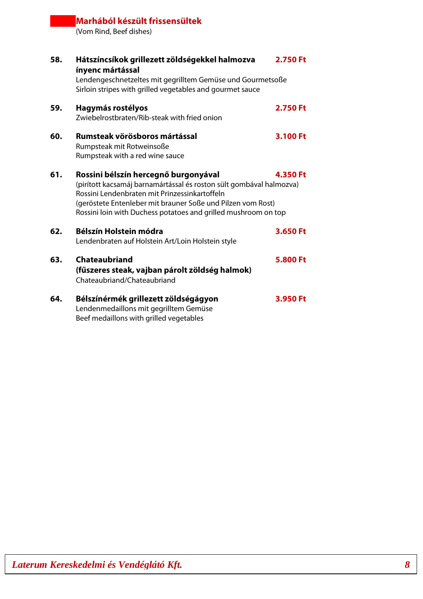# **Marhából készült frissensültek**

(Vom Rind, Beef dishes)

| 58. | Hátszíncsíkok grillezett zöldségekkel halmozva<br>ínyenc mártással                                                                                           | 2.750 Ft |
|-----|--------------------------------------------------------------------------------------------------------------------------------------------------------------|----------|
|     | Lendengeschnetzeltes mit gegrilltem Gemüse und Gourmetsoße<br>Sirloin stripes with grilled vegetables and gourmet sauce                                      |          |
| 59. | Hagymás rostélyos                                                                                                                                            | 2.750 Ft |
|     | Zwiebelrostbraten/Rib-steak with fried onion                                                                                                                 |          |
| 60. | Rumsteak vörösboros mártással                                                                                                                                | 3.100 Ft |
|     | Rumpsteak mit Rotweinsoße                                                                                                                                    |          |
|     | Rumpsteak with a red wine sauce                                                                                                                              |          |
| 61. | Rossini bélszín hercegnő burgonyával<br>(pirított kacsamáj barnamártással és roston sült gombával halmozva)<br>Rossini Lendenbraten mit Prinzessinkartoffeln | 4.350 Ft |
|     | (geröstete Entenleber mit brauner Soße und Pilzen vom Rost)<br>Rossini loin with Duchess potatoes and grilled mushroom on top                                |          |
| 62. | Bélszín Holstein módra                                                                                                                                       | 3.650 Ft |
|     | Lendenbraten auf Holstein Art/Loin Holstein style                                                                                                            |          |
| 63. | <b>Chateaubriand</b>                                                                                                                                         | 5.800 Ft |
|     | (fűszeres steak, vajban párolt zöldség halmok)<br>Chateaubriand/Chateaubriand                                                                                |          |
| 64. | Bélszínérmék grillezett zöldségágyon                                                                                                                         | 3.950 Ft |
|     | Lendenmedaillons mit gegrilltem Gemüse<br>Beef medaillons with grilled vegetables                                                                            |          |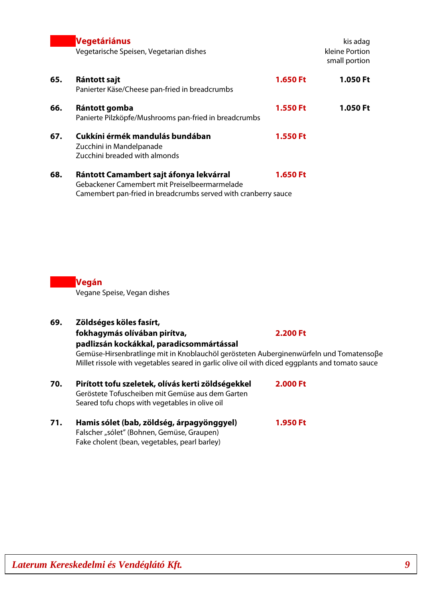|     | <b>Vegetáriánus</b><br>Vegetarische Speisen, Vegetarian dishes                                                                                             |          | kis adag<br>kleine Portion<br>small portion |
|-----|------------------------------------------------------------------------------------------------------------------------------------------------------------|----------|---------------------------------------------|
| 65. | Rántott sajt<br>Panierter Käse/Cheese pan-fried in breadcrumbs                                                                                             | 1.650 Ft | 1.050 Ft                                    |
| 66. | Rántott gomba<br>Panierte Pilzköpfe/Mushrooms pan-fried in breadcrumbs                                                                                     | 1.550 Ft | 1.050 Ft                                    |
| 67. | Cukkíni érmék mandulás bundában<br>Zucchini in Mandelpanade<br>Zucchini breaded with almonds                                                               | 1.550 Ft |                                             |
| 68. | Rántott Camambert sajt áfonya lekvárral<br>Gebackener Camembert mit Preiselbeermarmelade<br>Camembert pan-fried in breadcrumbs served with cranberry sauce | 1.650 Ft |                                             |

**Vegán**

Vegane Speise, Vegan dishes

**69. Zöldséges köles fasírt, fokhagymás olívában pirítva, 2.200 Ft**

**padlizsán kockákkal, paradicsommártással** Gemüse-Hirsenbratlinge mit in Knoblauchöl gerösteten Auberginenwürfeln und Tomatensoβe Millet rissole with vegetables seared in garlic olive oil with diced eggplants and tomato sauce

- **70. Pirított tofu szeletek, olívás kerti zöldségekkel 2.000 Ft** Geröstete Tofuscheiben mit Gemüse aus dem Garten Seared tofu chops with vegetables in olive oil
- **71. Hamis sólet (bab, zöldség, árpagyönggyel) 1.950 Ft** Falscher "sólet" (Bohnen, Gemüse, Graupen) Fake cholent (bean, vegetables, pearl barley)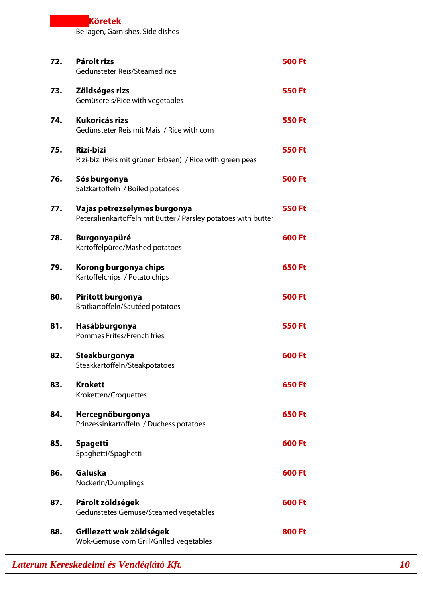# **Köretek** Beilagen, Garnishes, Side dishes **72. Párolt rizs 500 Ft** Gedünsteter Reis/Steamed rice **73. Zöldséges rizs 550 Ft** Gemüsereis/Rice with vegetables **74. Kukoricás rizs 550 Ft** Gedünsteter Reis mit Mais / Rice with corn **75. Rizi-bizi 550 Ft** Rizi-bizi (Reis mit grünen Erbsen) / Rice with green peas **76. Sós burgonya 500 Ft** Salzkartoffeln / Boiled potatoes **77. Vajas petrezselymes burgonya 550 Ft** Petersilienkartoffeln mit Butter / Parsley potatoes with butter **78. Burgonyapüré 600 Ft** Kartoffelpüree/Mashed potatoes **79. Korong burgonya chips 650 Ft** Kartoffelchips / Potato chips **80. Pirított burgonya 500 Ft** Bratkartoffeln/Sautéed potatoes **81. Hasábburgonya 550 Ft** Pommes Frites/French fries **82.** Steakburgonya **600 Ft** Steakkartoffeln/Steakpotatoes **83. Krokett 650 Ft** Kroketten/Croquettes **84. Hercegnőburgonya 650 Ft** Prinzessinkartoffeln / Duchess potatoes **85. Spagetti 600 Ft** Spaghetti/Spaghetti **86. Galuska 600 Ft** Nockerln/Dumplings **87. Párolt zöldségek 600 Ft** Gedünstetes Gemüse/Steamed vegetables **88. Grillezett wok zöldségek 1988 a 1998 a 1999 a 1999 a 1999 a 1999 a 1999 a 1999 a 1999 a 1999 a 1999 a 199** Wok-Gemüse vom Grill/Grilled vegetables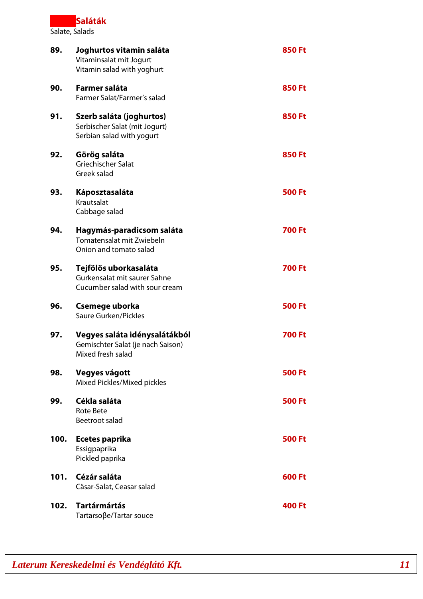**Saláták** Salate, Salads

| 89.  | Joghurtos vitamin saláta<br>Vitaminsalat mit Jogurt<br>Vitamin salad with yoghurt       | <b>850 Ft</b> |
|------|-----------------------------------------------------------------------------------------|---------------|
| 90.  | Farmer saláta<br>Farmer Salat/Farmer's salad                                            | <b>850 Ft</b> |
| 91.  | Szerb saláta (joghurtos)<br>Serbischer Salat (mit Jogurt)<br>Serbian salad with yogurt  | <b>850 Ft</b> |
| 92.  | Görög saláta<br>Griechischer Salat<br>Greek salad                                       | <b>850 Ft</b> |
| 93.  | Káposztasaláta<br>Krautsalat<br>Cabbage salad                                           | <b>500 Ft</b> |
| 94.  | Hagymás-paradicsom saláta<br>Tomatensalat mit Zwiebeln<br>Onion and tomato salad        | <b>700 Ft</b> |
| 95.  | Tejfölös uborkasaláta<br>Gurkensalat mit saurer Sahne<br>Cucumber salad with sour cream | <b>700 Ft</b> |
| 96.  | Csemege uborka<br>Saure Gurken/Pickles                                                  | <b>500 Ft</b> |
| 97.  | Vegyes saláta idénysalátákból<br>Gemischter Salat (je nach Saison)<br>Mixed fresh salad | <b>700 Ft</b> |
| 98.  | Vegyes vágott<br>Mixed Pickles/Mixed pickles                                            | <b>500 Ft</b> |
| 99.  | Cékla saláta<br><b>Rote Bete</b><br>Beetroot salad                                      | <b>500 Ft</b> |
| 100. | Ecetes paprika<br>Essigpaprika<br>Pickled paprika                                       | <b>500 Ft</b> |
| 101. | Cézár saláta<br>Cäsar-Salat, Ceasar salad                                               | 600 Ft        |
| 102. | <b>Tartármártás</b><br>Tartarsoβe/Tartar souce                                          | <b>400 Ft</b> |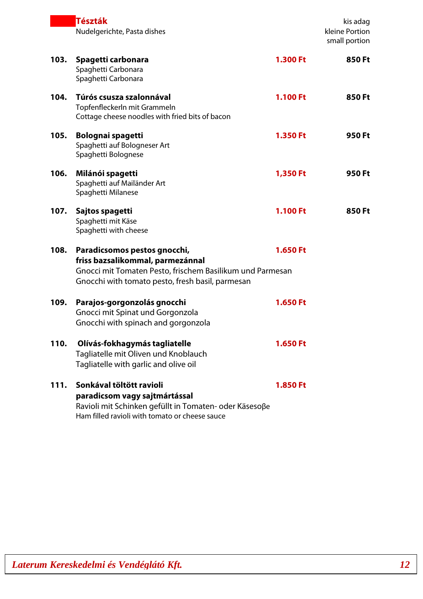|      | Tészták<br>Nudelgerichte, Pasta dishes                                                                                                                                            |                 | kis adag<br>kleine Portion<br>small portion |
|------|-----------------------------------------------------------------------------------------------------------------------------------------------------------------------------------|-----------------|---------------------------------------------|
| 103. | Spagetti carbonara<br>Spaghetti Carbonara<br>Spaghetti Carbonara                                                                                                                  | 1.300 Ft        | 850 Ft                                      |
| 104. | Túrós csusza szalonnával<br>Topfenfleckerln mit Grammeln<br>Cottage cheese noodles with fried bits of bacon                                                                       | <b>1.100 Ft</b> | 850 Ft                                      |
| 105. | Bolognai spagetti<br>Spaghetti auf Bologneser Art<br>Spaghetti Bolognese                                                                                                          | 1.350 Ft        | 950 Ft                                      |
| 106. | Milánói spagetti<br>Spaghetti auf Mailänder Art<br>Spaghetti Milanese                                                                                                             | 1,350 Ft        | 950 Ft                                      |
| 107. | Sajtos spagetti<br>Spaghetti mit Käse<br>Spaghetti with cheese                                                                                                                    | 1.100 Ft        | 850 Ft                                      |
| 108. | Paradicsomos pestos gnocchi,<br>friss bazsalikommal, parmezánnal<br>Gnocci mit Tomaten Pesto, frischem Basilikum und Parmesan<br>Gnocchi with tomato pesto, fresh basil, parmesan | 1.650 Ft        |                                             |
| 109. | Parajos-gorgonzolás gnocchi<br>Gnocci mit Spinat und Gorgonzola<br>Gnocchi with spinach and gorgonzola                                                                            | 1.650 Ft        |                                             |
| 110. | Olívás-fokhagymás tagliatelle<br>Tagliatelle mit Oliven und Knoblauch<br>Tagliatelle with garlic and olive oil                                                                    | 1.650 Ft        |                                             |
| 111. | Sonkával töltött ravioli<br>paradicsom vagy sajtmártással<br>Ravioli mit Schinken gefüllt in Tomaten- oder Käsesoße<br>Ham filled ravioli with tomato or cheese sauce             | <b>1.850 Ft</b> |                                             |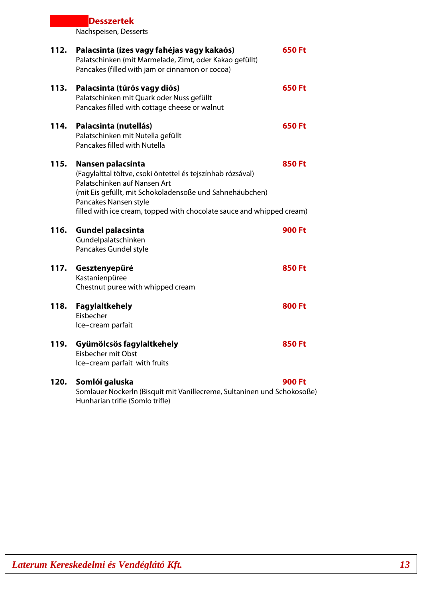# **Desszertek** Nachspeisen, Desserts **112. Palacsinta (ízes vagy fahéjas vagy kakaós) 650 Ft** Palatschinken (mit Marmelade, Zimt, oder Kakao gefüllt) Pancakes (filled with jam or cinnamon or cocoa) **113. Palacsinta (túrós vagy diós) 650 Ft** Palatschinken mit Quark oder Nuss gefüllt Pancakes filled with cottage cheese or walnut **114. Palacsinta (nutellás) 650 Ft** Palatschinken mit Nutella gefüllt Pancakes filled with Nutella **115. Nansen palacsinta 850 Ft** (Fagylalttal töltve, csoki öntettel és tejszínhab rózsával) Palatschinken auf Nansen Art (mit Eis gefüllt, mit Schokoladensoße und Sahnehäubchen) Pancakes Nansen style filled with ice cream, topped with chocolate sauce and whipped cream) **116. Gundel palacsinta 900 Ft** Gundelpalatschinken Pancakes Gundel style **117. Gesztenyepüré 850 Ft** Kastanienpüree Chestnut puree with whipped cream **118. Fagylaltkehely 800 Ft** Eisbecher Ice-cream parfait **119. Gyümölcsös fagylaltkehely 850 Ft** Eisbecher mit Obst Ice-cream parfait with fruits **120. Somlói galuska 900 Ft**

Somlauer Nockerln (Bisquit mit Vanillecreme, Sultaninen und Schokosoße) Hunharian trifle (Somlo trifle)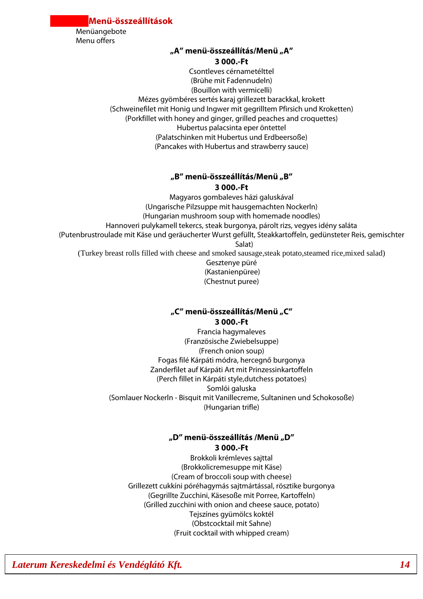**Menü-összeállítások**

Menüangebote Menu offers

## **"A'' menü-összeállítás/Menü "A'' 3 000.-Ft**

Csontleves cérnametélttel (Brühe mit Fadennudeln) (Bouillon with vermicelli) Mézes gyömbéres sertés karaj grillezett barackkal, krokett (Schweinefilet mit Honig und Ingwer mit gegrilltem Pfirsich und Kroketten) (Porkfillet with honey and ginger, grilled peaches and croquettes) Hubertus palacsinta eper öntettel (Palatschinken mit Hubertus und Erdbeersoße) (Pancakes with Hubertus and strawberry sauce)

## **"B'' menü-összeállítás/Menü "B'' 3 000.-Ft**

Magyaros gombaleves házi galuskával (Ungarische Pilzsuppe mit hausgemachten Nockerln) (Hungarian mushroom soup with homemade noodles) Hannoveri pulykamell tekercs, steak burgonya, párolt rizs, vegyes idény saláta (Putenbrustroulade mit Käse und geräucherter Wurst gefüllt, Steakkartoffeln, gedünsteter Reis, gemischter Salat) (Turkey breast rolls filled with cheese and smoked sausage,steak potato,steamed rice,mixed salad) Gesztenye püré (Kastanienpüree) (Chestnut puree)

## **"C'' menü-összeállítás/Menü "C'' 3 000.-Ft**

Francia hagymaleves (Französische Zwiebelsuppe) (French onion soup) Fogas filé Kárpáti módra, hercegnő burgonya Zanderfilet auf Kárpáti Art mit Prinzessinkartoffeln (Perch fillet in Kárpáti style,dutchess potatoes) Somlói galuska (Somlauer Nockerln - Bisquit mit Vanillecreme, Sultaninen und Schokosoße) (Hungarian trifle)

## **"D'' menü-összeállítás /Menü "D'' 3 000.-Ft**

Brokkoli krémleves sajttal (Brokkolicremesuppe mit Käse) (Cream of broccoli soup with cheese) Grillezett cukkíni póréhagymás sajtmártással, rösztike burgonya (Gegrillte Zucchini, Käsesoße mit Porree, Kartoffeln) (Grilled zucchini with onion and cheese sauce, potato) Tejszínes gyümölcs koktél (Obstcocktail mit Sahne) (Fruit cocktail with whipped cream)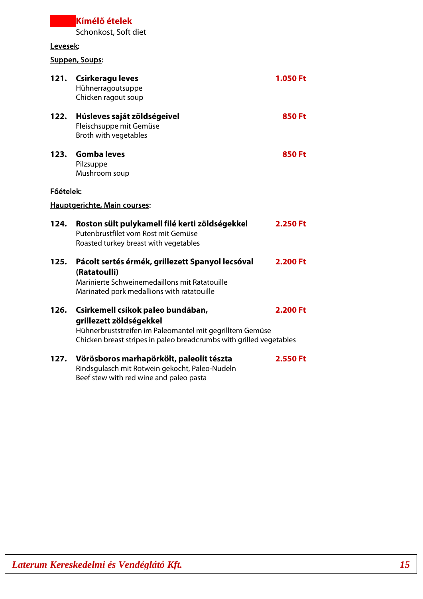# **Kímélő ételek** Schonkost, Soft diet

# Levesek:

# Suppen, Soups:

|           | 121. Csirkeragu leves<br>Hühnerragoutsuppe<br>Chicken ragout soup                                                                                                                               | <b>1.050 Ft</b> |
|-----------|-------------------------------------------------------------------------------------------------------------------------------------------------------------------------------------------------|-----------------|
| 122.      | Húsleves saját zöldségeivel<br>Fleischsuppe mit Gemüse<br>Broth with vegetables                                                                                                                 | <b>850 Ft</b>   |
| 123.      | <b>Gomba leves</b><br>Pilzsuppe<br>Mushroom soup                                                                                                                                                | <b>850 Ft</b>   |
| Főételek: |                                                                                                                                                                                                 |                 |
|           | <b>Hauptgerichte, Main courses:</b>                                                                                                                                                             |                 |
| 124.      | Roston sült pulykamell filé kerti zöldségekkel<br>Putenbrustfilet vom Rost mit Gemüse<br>Roasted turkey breast with vegetables                                                                  | 2.250 Ft        |
| 125.      | Pácolt sertés érmék, grillezett Spanyol lecsóval<br>(Ratatoulli)<br>Marinierte Schweinemedaillons mit Ratatouille<br>Marinated pork medallions with ratatouille                                 | 2.200 Ft        |
| 126.      | Csirkemell csíkok paleo bundában,<br>grillezett zöldségekkel<br>Hühnerbruststreifen im Paleomantel mit gegrilltem Gemüse<br>Chicken breast stripes in paleo breadcrumbs with grilled vegetables | 2.200 Ft        |
| 127.      | Vörösboros marhapörkölt, paleolit tészta<br>Rindsgulasch mit Rotwein gekocht, Paleo-Nudeln<br>Beef stew with red wine and paleo pasta                                                           | 2.550 Ft        |